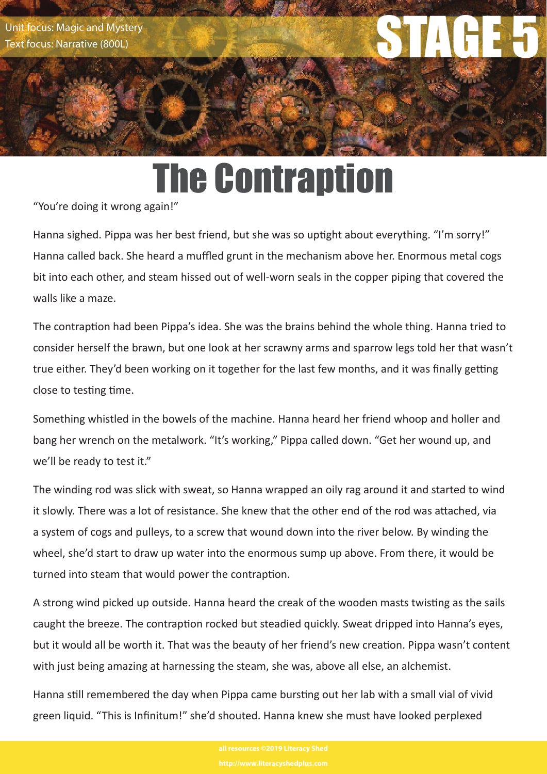Unit focus: Magic and Mystery<br>Text focus: Narrative (800L)<br>STAGE 5 Unit focus: Narrative (800L) Text focus: Narrative (800L)

# The Contraption

"You're doing it wrong again!"

Hanna sighed. Pippa was her best friend, but she was so uptight about everything. "I'm sorry!" Hanna called back. She heard a muffled grunt in the mechanism above her. Enormous metal cogs bit into each other, and steam hissed out of well-worn seals in the copper piping that covered the walls like a maze.

The contraption had been Pippa's idea. She was the brains behind the whole thing. Hanna tried to consider herself the brawn, but one look at her scrawny arms and sparrow legs told her that wasn't true either. They'd been working on it together for the last few months, and it was finally getting close to testing time.

Something whistled in the bowels of the machine. Hanna heard her friend whoop and holler and bang her wrench on the metalwork. "It's working," Pippa called down. "Get her wound up, and we'll be ready to test it."

The winding rod was slick with sweat, so Hanna wrapped an oily rag around it and started to wind it slowly. There was a lot of resistance. She knew that the other end of the rod was attached, via a system of cogs and pulleys, to a screw that wound down into the river below. By winding the wheel, she'd start to draw up water into the enormous sump up above. From there, it would be turned into steam that would power the contraption.

A strong wind picked up outside. Hanna heard the creak of the wooden masts twisting as the sails caught the breeze. The contraption rocked but steadied quickly. Sweat dripped into Hanna's eyes, but it would all be worth it. That was the beauty of her friend's new creation. Pippa wasn't content with just being amazing at harnessing the steam, she was, above all else, an alchemist.

Hanna still remembered the day when Pippa came bursting out her lab with a small vial of vivid green liquid. "This is Infinitum!" she'd shouted. Hanna knew she must have looked perplexed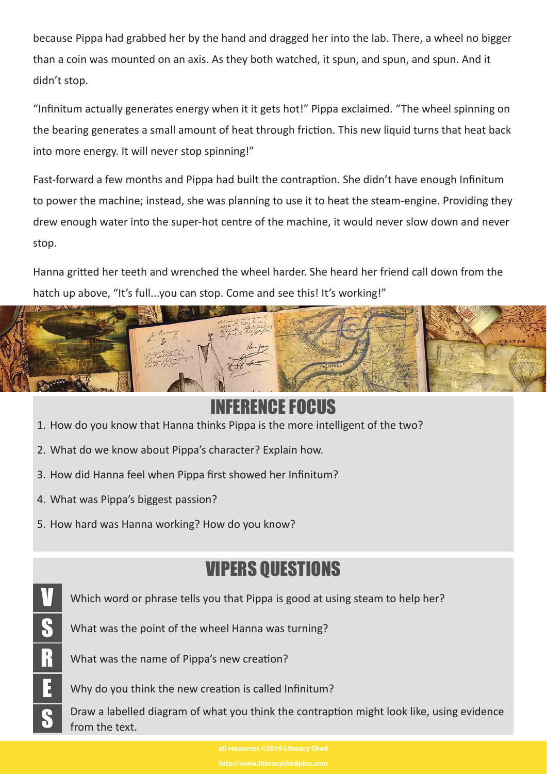because Pippa had grabbed her by the hand and dragged her into the lab. There, a wheel no bigger than a coin was mounted on an axis. As they both watched, it spun, and spun, and spun. And it didn't stop.

"Infinitum actually generates energy when it it gets hot!" Pippa exclaimed. "The wheel spinning on the bearing generates a small amount of heat through friction. This new liquid turns that heat back into more energy. It will never stop spinning!"

Fast-forward a few months and Pippa had built the contraption. She didn't have enough Infinitum to power the machine; instead, she was planning to use it to heat the steam-engine. Providing they drew enough water into the super-hot centre of the machine, it would never slow down and never stop.

Hanna gritted her teeth and wrenched the wheel harder. She heard her friend call down from the hatch up above, "It's full...you can stop. Come and see this! It's working!"



## INFERNIE FOLHUS

- 1. How do you know that Hanna thinks Pippa is the more intelligent of the two?
- 2. What do we know about Pippa's character? Explain how.
- 3. How did Hanna feel when Pippa first showed her Infinitum?
- 4. What was Pippa's biggest passion?
- 5. How hard was Hanna working? How do you know?

## VIPERS QUESTIONS

Which word or phrase tells you that Pippa is good at using steam to help her?

S What was the point of the wheel Hanna was turning?

R What was the name of Pippa's new creation?

 $\boxed{\frac{1}{2}}$  Why do you think the new creation is called Infinitum?

Draw a labelled diagram of what you think the contraption might look like, using evidence from the text.